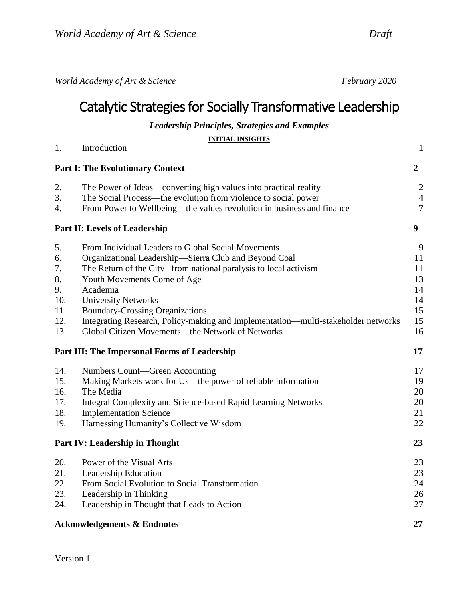*World Academy of Art & Science February 2020*

# Catalytic Strategies for Socially Transformative Leadership

*Leadership Principles, Strategies and Examples*

| <b>INITIAL INSIGHTS</b>                 |                                                                                   |                |
|-----------------------------------------|-----------------------------------------------------------------------------------|----------------|
| 1.                                      | Introduction                                                                      | $\mathbf{1}$   |
| <b>Part I: The Evolutionary Context</b> |                                                                                   | $\overline{2}$ |
| 2.                                      | The Power of Ideas—converting high values into practical reality                  | $\overline{2}$ |
| 3.                                      | The Social Process—the evolution from violence to social power                    | $\overline{4}$ |
| $\overline{4}$ .                        | From Power to Wellbeing—the values revolution in business and finance             | $\overline{7}$ |
|                                         | Part II: Levels of Leadership                                                     |                |
| 5.                                      | From Individual Leaders to Global Social Movements                                | 9              |
| 6.                                      | Organizational Leadership-Sierra Club and Beyond Coal                             | 11             |
| 7.                                      | The Return of the City–from national paralysis to local activism                  | 11             |
| 8.                                      | Youth Movements Come of Age                                                       | 13             |
| 9.                                      | Academia                                                                          | 14             |
| 10.                                     | <b>University Networks</b>                                                        | 14             |
| 11.                                     | <b>Boundary-Crossing Organizations</b>                                            | 15             |
| 12.                                     | Integrating Research, Policy-making and Implementation—multi-stakeholder networks | 15             |
| 13.                                     | Global Citizen Movements—the Network of Networks                                  | 16             |
|                                         | Part III: The Impersonal Forms of Leadership                                      |                |
| 14.                                     | Numbers Count—Green Accounting                                                    | 17             |
| 15.                                     | Making Markets work for Us—the power of reliable information                      | 19             |
| 16.                                     | The Media                                                                         | 20             |
| 17.                                     | Integral Complexity and Science-based Rapid Learning Networks                     | 20             |
| 18.                                     | <b>Implementation Science</b>                                                     | 21             |
| 19.                                     | Harnessing Humanity's Collective Wisdom                                           | 22             |
|                                         | Part IV: Leadership in Thought                                                    | 23             |
| 20.                                     | Power of the Visual Arts                                                          | 23             |
| 21.                                     | Leadership Education                                                              | 23             |
| 22.                                     | From Social Evolution to Social Transformation                                    | 24             |
| 23.                                     | Leadership in Thinking                                                            | 26             |
| 24.                                     | Leadership in Thought that Leads to Action                                        | 27             |
|                                         | <b>Acknowledgements &amp; Endnotes</b>                                            |                |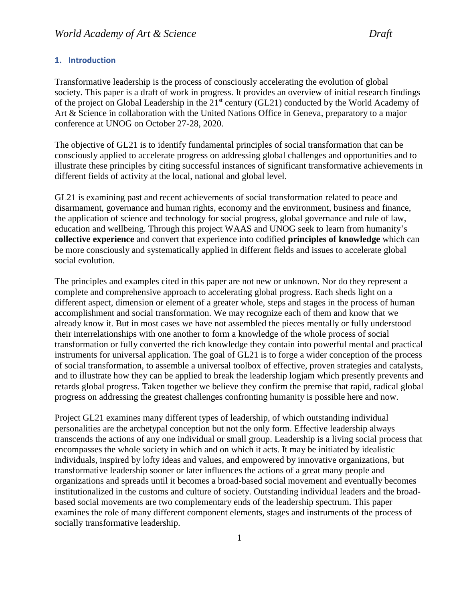### <span id="page-1-0"></span>**1. Introduction**

Transformative leadership is the process of consciously accelerating the evolution of global society. This paper is a draft of work in progress. It provides an overview of initial research findings of the project on Global Leadership in the 21<sup>st</sup> century (GL21) conducted by the World Academy of Art & Science in collaboration with the United Nations Office in Geneva, preparatory to a major conference at UNOG on October 27-28, 2020.

The objective of GL21 is to identify fundamental principles of social transformation that can be consciously applied to accelerate progress on addressing global challenges and opportunities and to illustrate these principles by citing successful instances of significant transformative achievements in different fields of activity at the local, national and global level.

GL21 is examining past and recent achievements of social transformation related to peace and disarmament, governance and human rights, economy and the environment, business and finance, the application of science and technology for social progress, global governance and rule of law, education and wellbeing. Through this project WAAS and UNOG seek to learn from humanity's **collective experience** and convert that experience into codified **principles of knowledge** which can be more consciously and systematically applied in different fields and issues to accelerate global social evolution.

The principles and examples cited in this paper are not new or unknown. Nor do they represent a complete and comprehensive approach to accelerating global progress. Each sheds light on a different aspect, dimension or element of a greater whole, steps and stages in the process of human accomplishment and social transformation. We may recognize each of them and know that we already know it. But in most cases we have not assembled the pieces mentally or fully understood their interrelationships with one another to form a knowledge of the whole process of social transformation or fully converted the rich knowledge they contain into powerful mental and practical instruments for universal application. The goal of GL21 is to forge a wider conception of the process of social transformation, to assemble a universal toolbox of effective, proven strategies and catalysts, and to illustrate how they can be applied to break the leadership logjam which presently prevents and retards global progress. Taken together we believe they confirm the premise that rapid, radical global progress on addressing the greatest challenges confronting humanity is possible here and now.

Project GL21 examines many different types of leadership, of which outstanding individual personalities are the archetypal conception but not the only form. Effective leadership always transcends the actions of any one individual or small group. Leadership is a living social process that encompasses the whole society in which and on which it acts. It may be initiated by idealistic individuals, inspired by lofty ideas and values, and empowered by innovative organizations, but transformative leadership sooner or later influences the actions of a great many people and organizations and spreads until it becomes a broad-based social movement and eventually becomes institutionalized in the customs and culture of society. Outstanding individual leaders and the broadbased social movements are two complementary ends of the leadership spectrum. This paper examines the role of many different component elements, stages and instruments of the process of socially transformative leadership.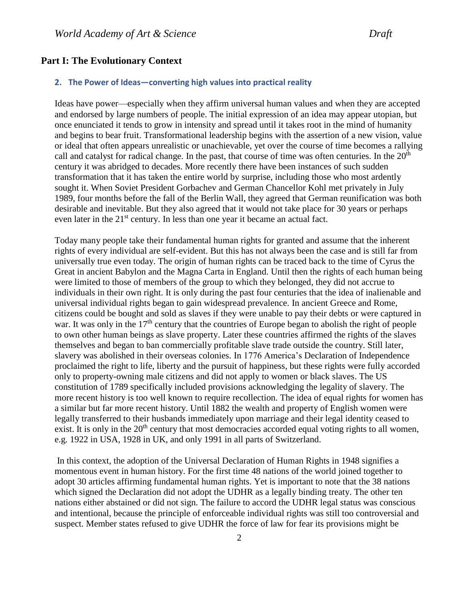# <span id="page-2-0"></span>**Part I: The Evolutionary Context**

#### <span id="page-2-1"></span>**2. The Power of Ideas—converting high values into practical reality**

Ideas have power—especially when they affirm universal human values and when they are accepted and endorsed by large numbers of people. The initial expression of an idea may appear utopian, but once enunciated it tends to grow in intensity and spread until it takes root in the mind of humanity and begins to bear fruit. Transformational leadership begins with the assertion of a new vision, value or ideal that often appears unrealistic or unachievable, yet over the course of time becomes a rallying call and catalyst for radical change. In the past, that course of time was often centuries. In the 20<sup>th</sup> century it was abridged to decades. More recently there have been instances of such sudden transformation that it has taken the entire world by surprise, including those who most ardently sought it. When Soviet President Gorbachev and German Chancellor Kohl met privately in July 1989, four months before the fall of the Berlin Wall, they agreed that German reunification was both desirable and inevitable. But they also agreed that it would not take place for 30 years or perhaps even later in the 21<sup>st</sup> century. In less than one year it became an actual fact.

Today many people take their fundamental human rights for granted and assume that the inherent rights of every individual are self-evident. But this has not always been the case and is still far from universally true even today. The origin of human rights can be traced back to the time of Cyrus the Great in ancient Babylon and the Magna Carta in England. Until then the rights of each human being were limited to those of members of the group to which they belonged, they did not accrue to individuals in their own right. It is only during the past four centuries that the idea of inalienable and universal individual rights began to gain widespread prevalence. In ancient Greece and Rome, citizens could be bought and sold as slaves if they were unable to pay their debts or were captured in war. It was only in the  $17<sup>th</sup>$  century that the countries of Europe began to abolish the right of people to own other human beings as slave property. Later these countries affirmed the rights of the slaves themselves and began to ban commercially profitable slave trade outside the country. Still later, slavery was abolished in their overseas colonies. In 1776 America's Declaration of Independence proclaimed the right to life, liberty and the pursuit of happiness, but these rights were fully accorded only to property-owning male citizens and did not apply to women or black slaves. The US constitution of 1789 specifically included provisions acknowledging the legality of slavery. The more recent history is too well known to require recollection. The idea of equal rights for women has a similar but far more recent history. Until 1882 the wealth and property of English women were legally transferred to their husbands immediately upon marriage and their legal identity ceased to exist. It is only in the  $20<sup>th</sup>$  century that most democracies accorded equal voting rights to all women, e.g. 1922 in USA, 1928 in UK, and only 1991 in all parts of Switzerland.

In this context, the adoption of the Universal Declaration of Human Rights in 1948 signifies a momentous event in human history. For the first time 48 nations of the world joined together to adopt 30 articles affirming fundamental human rights. Yet is important to note that the 38 nations which signed the Declaration did not adopt the UDHR as a legally binding treaty. The other ten nations either abstained or did not sign. The failure to accord the UDHR legal status was conscious and intentional, because the principle of enforceable individual rights was still too controversial and suspect. Member states refused to give UDHR the force of law for fear its provisions might be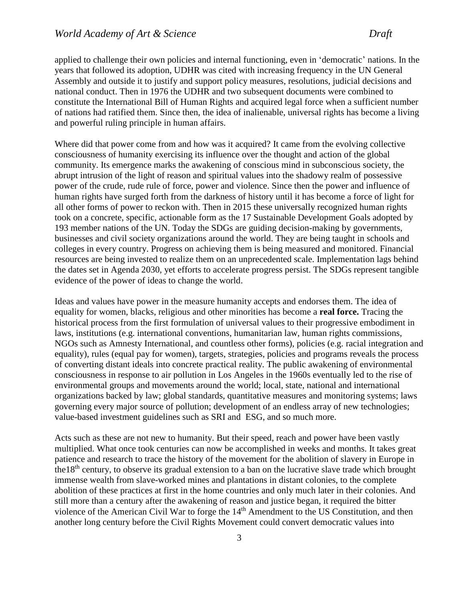applied to challenge their own policies and internal functioning, even in 'democratic' nations. In the years that followed its adoption, UDHR was cited with increasing frequency in the UN General Assembly and outside it to justify and support policy measures, resolutions, judicial decisions and national conduct. Then in 1976 the UDHR and two subsequent documents were combined to constitute the International Bill of Human Rights and acquired legal force when a sufficient number of nations had ratified them. Since then, the idea of inalienable, universal rights has become a living and powerful ruling principle in human affairs.

Where did that power come from and how was it acquired? It came from the evolving collective consciousness of humanity exercising its influence over the thought and action of the global community. Its emergence marks the awakening of conscious mind in subconscious society, the abrupt intrusion of the light of reason and spiritual values into the shadowy realm of possessive power of the crude, rude rule of force, power and violence. Since then the power and influence of human rights have surged forth from the darkness of history until it has become a force of light for all other forms of power to reckon with. Then in 2015 these universally recognized human rights took on a concrete, specific, actionable form as the 17 Sustainable Development Goals adopted by 193 member nations of the UN. Today the SDGs are guiding decision-making by governments, businesses and civil society organizations around the world. They are being taught in schools and colleges in every country. Progress on achieving them is being measured and monitored. Financial resources are being invested to realize them on an unprecedented scale. Implementation lags behind the dates set in Agenda 2030, yet efforts to accelerate progress persist. The SDGs represent tangible evidence of the power of ideas to change the world.

Ideas and values have power in the measure humanity accepts and endorses them. The idea of equality for women, blacks, religious and other minorities has become a **real force.** Tracing the historical process from the first formulation of universal values to their progressive embodiment in laws, institutions (e.g. international conventions, humanitarian law, human rights commissions, NGOs such as Amnesty International, and countless other forms), policies (e.g. racial integration and equality), rules (equal pay for women), targets, strategies, policies and programs reveals the process of converting distant ideals into concrete practical reality. The public awakening of environmental consciousness in response to air pollution in Los Angeles in the 1960s eventually led to the rise of environmental groups and movements around the world; local, state, national and international organizations backed by law; global standards, quantitative measures and monitoring systems; laws governing every major source of pollution; development of an endless array of new technologies; value-based investment guidelines such as SRI and ESG, and so much more.

Acts such as these are not new to humanity. But their speed, reach and power have been vastly multiplied. What once took centuries can now be accomplished in weeks and months. It takes great patience and research to trace the history of the movement for the abolition of slavery in Europe in the18th century, to observe its gradual extension to a ban on the lucrative slave trade which brought immense wealth from slave-worked mines and plantations in distant colonies, to the complete abolition of these practices at first in the home countries and only much later in their colonies. And still more than a century after the awakening of reason and justice began, it required the bitter violence of the American Civil War to forge the 14<sup>th</sup> Amendment to the US Constitution, and then another long century before the Civil Rights Movement could convert democratic values into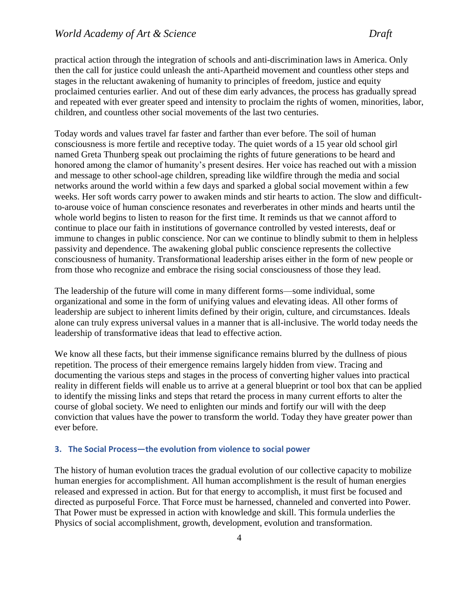practical action through the integration of schools and anti-discrimination laws in America. Only then the call for justice could unleash the anti-Apartheid movement and countless other steps and stages in the reluctant awakening of humanity to principles of freedom, justice and equity proclaimed centuries earlier. And out of these dim early advances, the process has gradually spread and repeated with ever greater speed and intensity to proclaim the rights of women, minorities, labor, children, and countless other social movements of the last two centuries.

Today words and values travel far faster and farther than ever before. The soil of human consciousness is more fertile and receptive today. The quiet words of a 15 year old school girl named Greta Thunberg speak out proclaiming the rights of future generations to be heard and honored among the clamor of humanity's present desires. Her voice has reached out with a mission and message to other school-age children, spreading like wildfire through the media and social networks around the world within a few days and sparked a global social movement within a few weeks. Her soft words carry power to awaken minds and stir hearts to action. The slow and difficultto-arouse voice of human conscience resonates and reverberates in other minds and hearts until the whole world begins to listen to reason for the first time. It reminds us that we cannot afford to continue to place our faith in institutions of governance controlled by vested interests, deaf or immune to changes in public conscience. Nor can we continue to blindly submit to them in helpless passivity and dependence. The awakening global public conscience represents the collective consciousness of humanity. Transformational leadership arises either in the form of new people or from those who recognize and embrace the rising social consciousness of those they lead.

The leadership of the future will come in many different forms—some individual, some organizational and some in the form of unifying values and elevating ideas. All other forms of leadership are subject to inherent limits defined by their origin, culture, and circumstances. Ideals alone can truly express universal values in a manner that is all-inclusive. The world today needs the leadership of transformative ideas that lead to effective action.

We know all these facts, but their immense significance remains blurred by the dullness of pious repetition. The process of their emergence remains largely hidden from view. Tracing and documenting the various steps and stages in the process of converting higher values into practical reality in different fields will enable us to arrive at a general blueprint or tool box that can be applied to identify the missing links and steps that retard the process in many current efforts to alter the course of global society. We need to enlighten our minds and fortify our will with the deep conviction that values have the power to transform the world. Today they have greater power than ever before.

# <span id="page-4-0"></span>**3. The Social Process—the evolution from violence to social power**

The history of human evolution traces the gradual evolution of our collective capacity to mobilize human energies for accomplishment. All human accomplishment is the result of human energies released and expressed in action. But for that energy to accomplish, it must first be focused and directed as purposeful Force. That Force must be harnessed, channeled and converted into Power. That Power must be expressed in action with knowledge and skill. This formula underlies the Physics of social accomplishment, growth, development, evolution and transformation.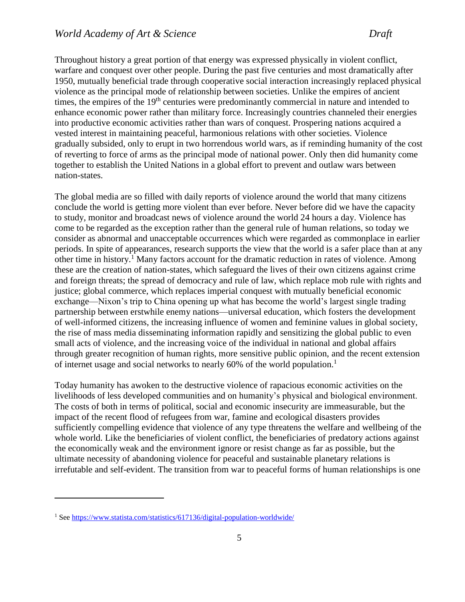Throughout history a great portion of that energy was expressed physically in violent conflict, warfare and conquest over other people. During the past five centuries and most dramatically after 1950, mutually beneficial trade through cooperative social interaction increasingly replaced physical violence as the principal mode of relationship between societies. Unlike the empires of ancient times, the empires of the 19<sup>th</sup> centuries were predominantly commercial in nature and intended to enhance economic power rather than military force. Increasingly countries channeled their energies into productive economic activities rather than wars of conquest. Prospering nations acquired a vested interest in maintaining peaceful, harmonious relations with other societies. Violence gradually subsided, only to erupt in two horrendous world wars, as if reminding humanity of the cost of reverting to force of arms as the principal mode of national power. Only then did humanity come together to establish the United Nations in a global effort to prevent and outlaw wars between nation-states.

The global media are so filled with daily reports of violence around the world that many citizens conclude the world is getting more violent than ever before. Never before did we have the capacity to study, monitor and broadcast news of violence around the world 24 hours a day. Violence has come to be regarded as the exception rather than the general rule of human relations, so today we consider as abnormal and unacceptable occurrences which were regarded as commonplace in earlier periods. In spite of appearances, research supports the view that the world is a safer place than at any other time in history.<sup>1</sup> Many factors account for the dramatic reduction in rates of violence. Among these are the creation of nation-states, which safeguard the lives of their own citizens against crime and foreign threats; the spread of democracy and rule of law, which replace mob rule with rights and justice; global commerce, which replaces imperial conquest with mutually beneficial economic exchange—Nixon's trip to China opening up what has become the world's largest single trading partnership between erstwhile enemy nations—universal education, which fosters the development of well-informed citizens, the increasing influence of women and feminine values in global society, the rise of mass media disseminating information rapidly and sensitizing the global public to even small acts of violence, and the increasing voice of the individual in national and global affairs through greater recognition of human rights, more sensitive public opinion, and the recent extension of internet usage and social networks to nearly 60% of the world population.<sup>1</sup>

Today humanity has awoken to the destructive violence of rapacious economic activities on the livelihoods of less developed communities and on humanity's physical and biological environment. The costs of both in terms of political, social and economic insecurity are immeasurable, but the impact of the recent flood of refugees from war, famine and ecological disasters provides sufficiently compelling evidence that violence of any type threatens the welfare and wellbeing of the whole world. Like the beneficiaries of violent conflict, the beneficiaries of predatory actions against the economically weak and the environment ignore or resist change as far as possible, but the ultimate necessity of abandoning violence for peaceful and sustainable planetary relations is irrefutable and self-evident. The transition from war to peaceful forms of human relationships is one

 $\overline{a}$ 

<sup>1</sup> Se[e https://www.statista.com/statistics/617136/digital-population-worldwide/](https://www.statista.com/statistics/617136/digital-population-worldwide/)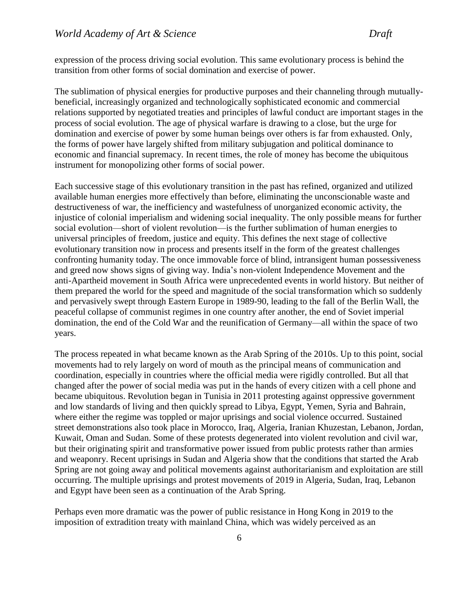expression of the process driving social evolution. This same evolutionary process is behind the transition from other forms of social domination and exercise of power.

The sublimation of physical energies for productive purposes and their channeling through mutuallybeneficial, increasingly organized and technologically sophisticated economic and commercial relations supported by negotiated treaties and principles of lawful conduct are important stages in the process of social evolution. The age of physical warfare is drawing to a close, but the urge for domination and exercise of power by some human beings over others is far from exhausted. Only, the forms of power have largely shifted from military subjugation and political dominance to economic and financial supremacy. In recent times, the role of money has become the ubiquitous instrument for monopolizing other forms of social power.

Each successive stage of this evolutionary transition in the past has refined, organized and utilized available human energies more effectively than before, eliminating the unconscionable waste and destructiveness of war, the inefficiency and wastefulness of unorganized economic activity, the injustice of colonial imperialism and widening social inequality. The only possible means for further social evolution—short of violent revolution—is the further sublimation of human energies to universal principles of freedom, justice and equity. This defines the next stage of collective evolutionary transition now in process and presents itself in the form of the greatest challenges confronting humanity today. The once immovable force of blind, intransigent human possessiveness and greed now shows signs of giving way. India's non-violent Independence Movement and the anti-Apartheid movement in South Africa were unprecedented events in world history. But neither of them prepared the world for the speed and magnitude of the social transformation which so suddenly and pervasively swept through Eastern Europe in 1989-90, leading to the fall of the Berlin Wall, the peaceful collapse of communist regimes in one country after another, the end of Soviet imperial domination, the end of the Cold War and the reunification of Germany—all within the space of two years.

The process repeated in what became known as the Arab Spring of the 2010s. Up to this point, social movements had to rely largely on word of mouth as the principal means of communication and coordination, especially in countries where the official media were rigidly controlled. But all that changed after the power of social media was put in the hands of every citizen with a cell phone and became ubiquitous. Revolution began in Tunisia in 2011 protesting against oppressive government and low standards of living and then quickly spread to Libya, Egypt, Yemen, Syria and Bahrain, where either the regime was toppled or major uprisings and social violence occurred. Sustained street demonstrations also took place in Morocco, Iraq, Algeria, Iranian Khuzestan, Lebanon, Jordan, Kuwait, Oman and Sudan. Some of these protests degenerated into violent revolution and civil war, but their originating spirit and transformative power issued from public protests rather than armies and weaponry. Recent uprisings in Sudan and Algeria show that the conditions that started the Arab Spring are not going away and political movements against authoritarianism and exploitation are still occurring. The multiple uprisings and protest movements of 2019 in Algeria, Sudan, Iraq, Lebanon and Egypt have been seen as a continuation of the Arab Spring.

Perhaps even more dramatic was the power of public resistance in Hong Kong in 2019 to the imposition of extradition treaty with mainland China, which was widely perceived as an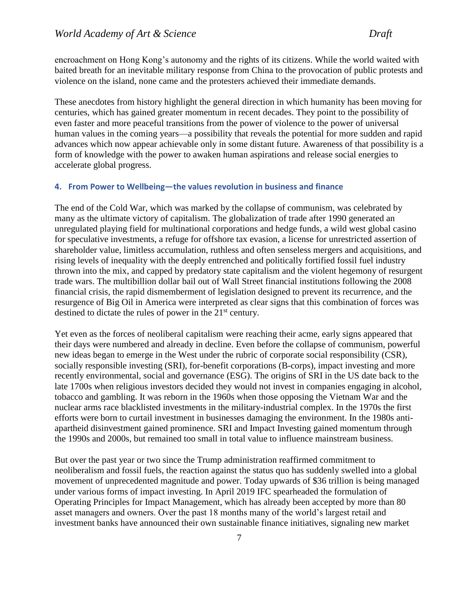encroachment on Hong Kong's autonomy and the rights of its citizens. While the world waited with baited breath for an inevitable military response from China to the provocation of public protests and violence on the island, none came and the protesters achieved their immediate demands.

These anecdotes from history highlight the general direction in which humanity has been moving for centuries, which has gained greater momentum in recent decades. They point to the possibility of even faster and more peaceful transitions from the power of violence to the power of universal human values in the coming years—a possibility that reveals the potential for more sudden and rapid advances which now appear achievable only in some distant future. Awareness of that possibility is a form of knowledge with the power to awaken human aspirations and release social energies to accelerate global progress.

#### <span id="page-7-0"></span>**4. From Power to Wellbeing—the values revolution in business and finance**

The end of the Cold War, which was marked by the collapse of communism, was celebrated by many as the ultimate victory of capitalism. The globalization of trade after 1990 generated an unregulated playing field for multinational corporations and hedge funds, a wild west global casino for speculative investments, a refuge for offshore tax evasion, a license for unrestricted assertion of shareholder value, limitless accumulation, ruthless and often senseless mergers and acquisitions, and rising levels of inequality with the deeply entrenched and politically fortified fossil fuel industry thrown into the mix, and capped by predatory state capitalism and the violent hegemony of resurgent trade wars. The multibillion dollar bail out of Wall Street financial institutions following the 2008 financial crisis, the rapid dismemberment of legislation designed to prevent its recurrence, and the resurgence of Big Oil in America were interpreted as clear signs that this combination of forces was destined to dictate the rules of power in the 21<sup>st</sup> century.

Yet even as the forces of neoliberal capitalism were reaching their acme, early signs appeared that their days were numbered and already in decline. Even before the collapse of communism, powerful new ideas began to emerge in the West under the rubric of corporate social responsibility (CSR), socially responsible investing (SRI), for-benefit corporations (B-corps), impact investing and more recently environmental, social and governance (ESG). The origins of SRI in the US date back to the late 1700s when religious investors decided they would not invest in companies engaging in alcohol, tobacco and gambling. It was reborn in the 1960s when those opposing the Vietnam War and the nuclear arms race blacklisted investments in the military-industrial complex. In the 1970s the first efforts were born to curtail investment in businesses damaging the environment. In the 1980s antiapartheid disinvestment gained prominence. SRI and Impact Investing gained momentum through the 1990s and 2000s, but remained too small in total value to influence mainstream business.

But over the past year or two since the Trump administration reaffirmed commitment to neoliberalism and fossil fuels, the reaction against the status quo has suddenly swelled into a global movement of unprecedented magnitude and power. Today upwards of \$36 trillion is being managed under various forms of impact investing. In April 2019 IFC spearheaded the formulation of Operating Principles for Impact Management, which has already been accepted by more than 80 asset managers and owners. Over the past 18 months many of the world's largest retail and investment banks have announced their own sustainable finance initiatives, signaling new market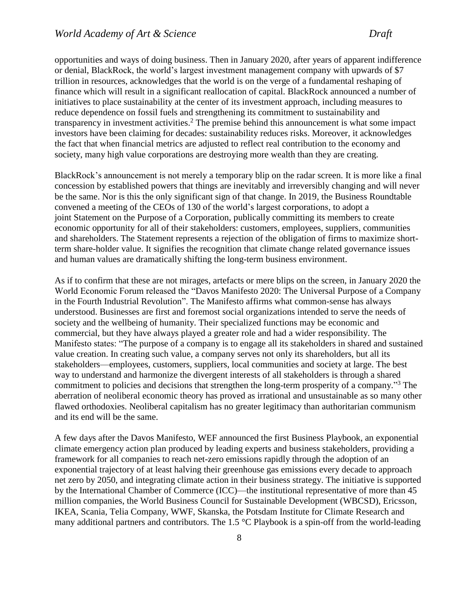opportunities and ways of doing business. Then in January 2020, after years of apparent indifference or denial, BlackRock, the world's largest investment management company with upwards of \$7 trillion in resources, acknowledges that the world is on the verge of a fundamental reshaping of finance which will result in a significant reallocation of capital. BlackRock announced a number of initiatives to place sustainability at the center of its investment approach, including measures to reduce dependence on fossil fuels and strengthening its commitment to sustainability and transparency in investment activities.<sup>2</sup> The premise behind this announcement is what some impact investors have been claiming for decades: sustainability reduces risks. Moreover, it acknowledges the fact that when financial metrics are adjusted to reflect real contribution to the economy and society, many high value corporations are destroying more wealth than they are creating.

BlackRock's announcement is not merely a temporary blip on the radar screen. It is more like a final concession by established powers that things are inevitably and irreversibly changing and will never be the same. Nor is this the only significant sign of that change. In 2019, the Business Roundtable convened a meeting of the CEOs of 130 of the world's largest corporations, to adopt a joint [Statement on the Purpose of a Corporation,](https://opportunity.businessroundtable.org/ourcommitment/) publically committing its members to create economic opportunity for all of their stakeholders: customers, employees, suppliers, communities and shareholders. The Statement represents a rejection of the obligation of firms to maximize shortterm share-holder value. It signifies the recognition that climate change related governance issues and human values are dramatically shifting the long-term business environment.

As if to confirm that these are not mirages, artefacts or mere blips on the screen, in January 2020 the World Economic Forum released the "Davos Manifesto 2020: The Universal Purpose of a Company in the Fourth Industrial Revolution". The Manifesto affirms what common-sense has always understood. Businesses are first and foremost social organizations intended to serve the needs of society and the wellbeing of humanity. Their specialized functions may be economic and commercial, but they have always played a greater role and had a wider responsibility. The Manifesto states: "The purpose of a company is to engage all its stakeholders in shared and sustained value creation. In creating such value, a company serves not only its shareholders, but all its stakeholders—employees, customers, suppliers, local communities and society at large. The best way to understand and harmonize the divergent interests of all stakeholders is through a shared commitment to policies and decisions that strengthen the long-term prosperity of a company."<sup>3</sup> The aberration of neoliberal economic theory has proved as irrational and unsustainable as so many other flawed orthodoxies. Neoliberal capitalism has no greater legitimacy than authoritarian communism and its end will be the same.

A few days after the Davos Manifesto, WEF announced the first Business Playbook, an exponential climate emergency action plan produced by leading experts and business stakeholders, providing a framework for all companies to reach net-zero emissions rapidly through the adoption of an exponential trajectory of at least halving their greenhouse gas emissions every decade to approach net zero by 2050, and integrating climate action in their business strategy. The initiative is supported by the International Chamber of Commerce (ICC)—the institutional representative of more than 45 million companies, the World Business Council for Sustainable Development (WBCSD), Ericsson, IKEA, Scania, Telia Company, WWF, Skanska, the Potsdam Institute for Climate Research and many additional partners and contributors. The 1.5 °C Playbook is a spin-off from the world-leading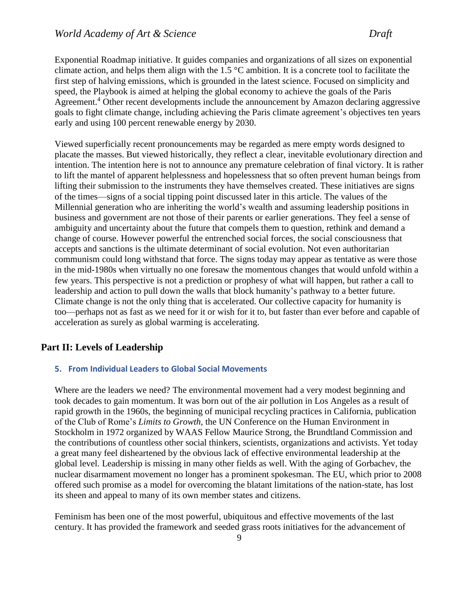Exponential Roadmap initiative. It guides companies and organizations of all sizes on exponential climate action, and helps them align with the 1.5  $^{\circ}$ C ambition. It is a concrete tool to facilitate the first step of halving emissions, which is grounded in the latest science. Focused on simplicity and speed, the Playbook is aimed at helping the global economy to achieve the goals of the Paris Agreement.<sup>4</sup> Other recent developments include the announcement by Amazon declaring aggressive goals to fight climate change, including achieving the Paris climate agreement's objectives ten years early and using 100 percent renewable energy by 2030.

Viewed superficially recent pronouncements may be regarded as mere empty words designed to placate the masses. But viewed historically, they reflect a clear, inevitable evolutionary direction and intention. The intention here is not to announce any premature celebration of final victory. It is rather to lift the mantel of apparent helplessness and hopelessness that so often prevent human beings from lifting their submission to the instruments they have themselves created. These initiatives are signs of the times—signs of a social tipping point discussed later in this article. The values of the Millennial generation who are inheriting the world's wealth and assuming leadership positions in business and government are not those of their parents or earlier generations. They feel a sense of ambiguity and uncertainty about the future that compels them to question, rethink and demand a change of course. However powerful the entrenched social forces, the social consciousness that accepts and sanctions is the ultimate determinant of social evolution. Not even authoritarian communism could long withstand that force. The signs today may appear as tentative as were those in the mid-1980s when virtually no one foresaw the momentous changes that would unfold within a few years. This perspective is not a prediction or prophesy of what will happen, but rather a call to leadership and action to pull down the walls that block humanity's pathway to a better future. Climate change is not the only thing that is accelerated. Our collective capacity for humanity is too—perhaps not as fast as we need for it or wish for it to, but faster than ever before and capable of acceleration as surely as global warming is accelerating.

# <span id="page-9-0"></span>**Part II: Levels of Leadership**

#### <span id="page-9-1"></span>**5. From Individual Leaders to Global Social Movements**

Where are the leaders we need? The environmental movement had a very modest beginning and took decades to gain momentum. It was born out of the air pollution in Los Angeles as a result of rapid growth in the 1960s, the beginning of municipal recycling practices in California, publication of the Club of Rome's *Limits to Growth,* the UN Conference on the Human Environment in Stockholm in 1972 organized by WAAS Fellow Maurice Strong, the Brundtland Commission and the contributions of countless other social thinkers, scientists, organizations and activists. Yet today a great many feel disheartened by the obvious lack of effective environmental leadership at the global level. Leadership is missing in many other fields as well. With the aging of Gorbachev, the nuclear disarmament movement no longer has a prominent spokesman. The EU, which prior to 2008 offered such promise as a model for overcoming the blatant limitations of the nation-state, has lost its sheen and appeal to many of its own member states and citizens.

Feminism has been one of the most powerful, ubiquitous and effective movements of the last century. It has provided the framework and seeded grass roots initiatives for the advancement of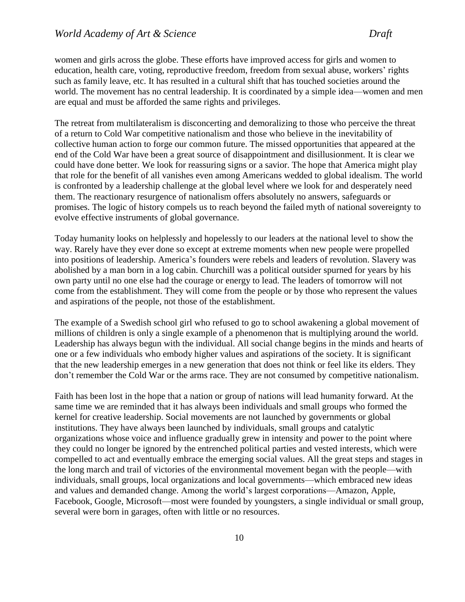women and girls across the globe. These efforts have improved access for girls and women to education, health care, voting, reproductive freedom, freedom from sexual abuse, workers' rights such as family leave, etc. It has resulted in a cultural shift that has touched societies around the world. The movement has no central leadership. It is coordinated by a simple idea—women and men are equal and must be afforded the same rights and privileges.

The retreat from multilateralism is disconcerting and demoralizing to those who perceive the threat of a return to Cold War competitive nationalism and those who believe in the inevitability of collective human action to forge our common future. The missed opportunities that appeared at the end of the Cold War have been a great source of disappointment and disillusionment. It is clear we could have done better. We look for reassuring signs or a savior. The hope that America might play that role for the benefit of all vanishes even among Americans wedded to global idealism. The world is confronted by a leadership challenge at the global level where we look for and desperately need them. The reactionary resurgence of nationalism offers absolutely no answers, safeguards or promises. The logic of history compels us to reach beyond the failed myth of national sovereignty to evolve effective instruments of global governance.

Today humanity looks on helplessly and hopelessly to our leaders at the national level to show the way. Rarely have they ever done so except at extreme moments when new people were propelled into positions of leadership. America's founders were rebels and leaders of revolution. Slavery was abolished by a man born in a log cabin. Churchill was a political outsider spurned for years by his own party until no one else had the courage or energy to lead. The leaders of tomorrow will not come from the establishment. They will come from the people or by those who represent the values and aspirations of the people, not those of the establishment.

The example of a Swedish school girl who refused to go to school awakening a global movement of millions of children is only a single example of a phenomenon that is multiplying around the world. Leadership has always begun with the individual. All social change begins in the minds and hearts of one or a few individuals who embody higher values and aspirations of the society. It is significant that the new leadership emerges in a new generation that does not think or feel like its elders. They don't remember the Cold War or the arms race. They are not consumed by competitive nationalism.

Faith has been lost in the hope that a nation or group of nations will lead humanity forward. At the same time we are reminded that it has always been individuals and small groups who formed the kernel for creative leadership. Social movements are not launched by governments or global institutions. They have always been launched by individuals, small groups and catalytic organizations whose voice and influence gradually grew in intensity and power to the point where they could no longer be ignored by the entrenched political parties and vested interests, which were compelled to act and eventually embrace the emerging social values. All the great steps and stages in the long march and trail of victories of the environmental movement began with the people—with individuals, small groups, local organizations and local governments—which embraced new ideas and values and demanded change. Among the world's largest corporations—Amazon, Apple, Facebook, Google, Microsoft—most were founded by youngsters, a single individual or small group, several were born in garages, often with little or no resources.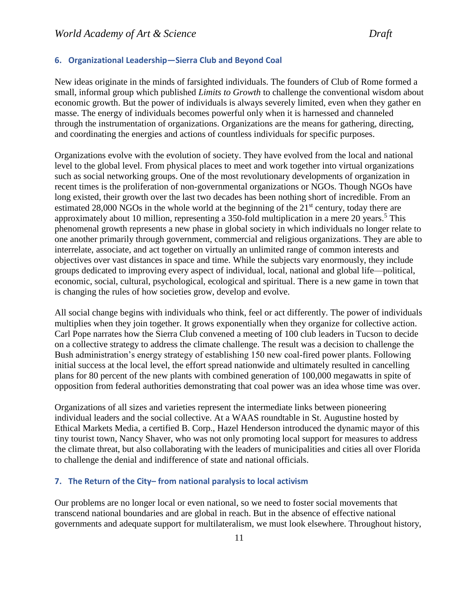#### <span id="page-11-0"></span>**6. Organizational Leadership—Sierra Club and Beyond Coal**

New ideas originate in the minds of farsighted individuals. The founders of Club of Rome formed a small, informal group which published *Limits to Growth* to challenge the conventional wisdom about economic growth. But the power of individuals is always severely limited, even when they gather en masse. The energy of individuals becomes powerful only when it is harnessed and channeled through the instrumentation of organizations. Organizations are the means for gathering, directing, and coordinating the energies and actions of countless individuals for specific purposes.

Organizations evolve with the evolution of society. They have evolved from the local and national level to the global level. From physical places to meet and work together into virtual organizations such as social networking groups. One of the most revolutionary developments of organization in recent times is the proliferation of non-governmental organizations or NGOs. Though NGOs have long existed, their growth over the last two decades has been nothing short of incredible. From an estimated 28,000 NGOs in the whole world at the beginning of the  $21<sup>st</sup>$  century, today there are approximately about 10 million, representing a 350-fold multiplication in a mere 20 years.<sup>5</sup> This phenomenal growth represents a new phase in global society in which individuals no longer relate to one another primarily through government, commercial and religious organizations. They are able to interrelate, associate, and act together on virtually an unlimited range of common interests and objectives over vast distances in space and time. While the subjects vary enormously, they include groups dedicated to improving every aspect of individual, local, national and global life—political, economic, social, cultural, psychological, ecological and spiritual. There is a new game in town that is changing the rules of how societies grow, develop and evolve.

All social change begins with individuals who think, feel or act differently. The power of individuals multiplies when they join together. It grows exponentially when they organize for collective action. Carl Pope narrates how the Sierra Club convened a meeting of 100 club leaders in Tucson to decide on a collective strategy to address the climate challenge. The result was a decision to challenge the Bush administration's energy strategy of establishing 150 new coal-fired power plants. Following initial success at the local level, the effort spread nationwide and ultimately resulted in cancelling plans for 80 percent of the new plants with combined generation of 100,000 megawatts in spite of opposition from federal authorities demonstrating that coal power was an idea whose time was over.

Organizations of all sizes and varieties represent the intermediate links between pioneering individual leaders and the social collective. At a WAAS roundtable in St. Augustine hosted by Ethical Markets Media, a certified B. Corp., Hazel Henderson introduced the dynamic mayor of this tiny tourist town, Nancy Shaver, who was not only promoting local support for measures to address the climate threat, but also collaborating with the leaders of municipalities and cities all over Florida to challenge the denial and indifference of state and national officials.

#### <span id="page-11-1"></span>**7. The Return of the City– from national paralysis to local activism**

Our problems are no longer local or even national, so we need to foster social movements that transcend national boundaries and are global in reach. But in the absence of effective national governments and adequate support for multilateralism, we must look elsewhere. Throughout history,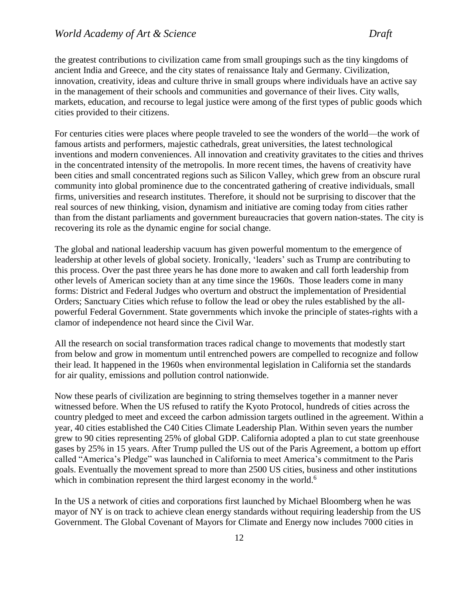the greatest contributions to civilization came from small groupings such as the tiny kingdoms of ancient India and Greece, and the city states of renaissance Italy and Germany. Civilization, innovation, creativity, ideas and culture thrive in small groups where individuals have an active say in the management of their schools and communities and governance of their lives. City walls, markets, education, and recourse to legal justice were among of the first types of public goods which cities provided to their citizens.

For centuries cities were places where people traveled to see the wonders of the world—the work of famous artists and performers, majestic cathedrals, great universities, the latest technological inventions and modern conveniences. All innovation and creativity gravitates to the cities and thrives in the concentrated intensity of the metropolis. In more recent times, the havens of creativity have been cities and small concentrated regions such as Silicon Valley, which grew from an obscure rural community into global prominence due to the concentrated gathering of creative individuals, small firms, universities and research institutes. Therefore, it should not be surprising to discover that the real sources of new thinking, vision, dynamism and initiative are coming today from cities rather than from the distant parliaments and government bureaucracies that govern nation-states. The city is recovering its role as the dynamic engine for social change.

The global and national leadership vacuum has given powerful momentum to the emergence of leadership at other levels of global society. Ironically, 'leaders' such as Trump are contributing to this process. Over the past three years he has done more to awaken and call forth leadership from other levels of American society than at any time since the 1960s. Those leaders come in many forms: District and Federal Judges who overturn and obstruct the implementation of Presidential Orders; Sanctuary Cities which refuse to follow the lead or obey the rules established by the allpowerful Federal Government. State governments which invoke the principle of states-rights with a clamor of independence not heard since the Civil War.

All the research on social transformation traces radical change to movements that modestly start from below and grow in momentum until entrenched powers are compelled to recognize and follow their lead. It happened in the 1960s when environmental legislation in California set the standards for air quality, emissions and pollution control nationwide.

Now these pearls of civilization are beginning to string themselves together in a manner never witnessed before. When the US refused to ratify the Kyoto Protocol, hundreds of cities across the country pledged to meet and exceed the carbon admission targets outlined in the agreement. Within a year, 40 cities established the C40 Cities Climate Leadership Plan. Within seven years the number grew to 90 cities representing 25% of global GDP. California adopted a plan to cut state greenhouse gases by 25% in 15 years. After Trump pulled the US out of the Paris Agreement, a bottom up effort called "America's Pledge" was launched in California to meet America's commitment to the Paris goals. Eventually the movement spread to more than 2500 US cities, business and other institutions which in combination represent the third largest economy in the world.<sup>6</sup>

In the US a network of cities and corporations first launched by Michael Bloomberg when he was mayor of NY is on track to achieve clean energy standards without requiring leadership from the US Government. The Global Covenant of Mayors for Climate and Energy now includes 7000 cities in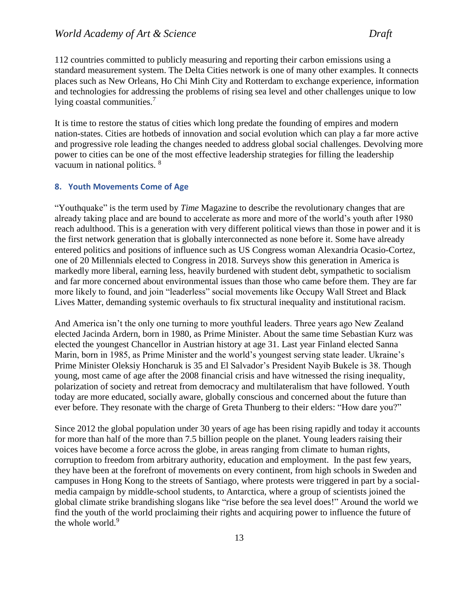112 countries committed to publicly measuring and reporting their carbon emissions using a standard measurement system. The Delta Cities network is one of many other examples. It connects places such as New Orleans, Ho Chi Minh City and Rotterdam to exchange experience, information and technologies for addressing the problems of rising sea level and other challenges unique to low lying coastal communities.<sup>7</sup>

It is time to restore the status of cities which long predate the founding of empires and modern nation-states. Cities are hotbeds of innovation and social evolution which can play a far more active and progressive role leading the changes needed to address global social challenges. Devolving more power to cities can be one of the most effective leadership strategies for filling the leadership vacuum in national politics. <sup>8</sup>

#### <span id="page-13-0"></span>**8. Youth Movements Come of Age**

"Youthquake" is the term used by *Time* Magazine to describe the revolutionary changes that are already taking place and are bound to accelerate as more and more of the world's youth after 1980 reach adulthood. This is a generation with very different political views than those in power and it is the first network generation that is globally interconnected as none before it. Some have already entered politics and positions of influence such as US Congress woman Alexandria Ocasio-Cortez, one of 20 Millennials elected to Congress in 2018. Surveys show this generation in America is markedly more liberal, earning less, heavily burdened with student debt, sympathetic to socialism and far more concerned about environmental issues than those who came before them. They are far more likely to found, and join "leaderless" social movements like Occupy Wall Street and Black Lives Matter, demanding systemic overhauls to fix structural inequality and institutional racism.

And America isn't the only one turning to more youthful leaders. Three years ago New Zealand elected Jacinda Ardern, born in 1980, as Prime Minister. About the same time Sebastian Kurz was elected the youngest Chancellor in Austrian history at age 31. Last year Finland elected Sanna Marin, born in 1985, as Prime Minister and the world's youngest serving state leader. Ukraine's Prime Minister Oleksiy Honcharuk is 35 and El Salvador's President Nayib Bukele is 38. Though young, most came of age after the 2008 financial crisis and have witnessed the rising inequality, polarization of society and retreat from democracy and multilateralism that have followed. Youth today are more educated, socially aware, globally conscious and concerned about the future than ever before. They resonate with the charge of Greta Thunberg to their elders: "How dare you?"

Since 2012 the global population under 30 years of age has been rising rapidly and today it accounts for more than half of the more than 7.5 billion people on the planet. Young leaders raising their voices have become a force across the globe, in areas ranging from climate to human rights, corruption to freedom from arbitrary authority, education and employment. In the past few years, they have been at the forefront of movements on every continent, from high schools in Sweden and campuses in Hong Kong to the streets of Santiago, where protests were triggered in part by a socialmedia campaign by middle-school students, to Antarctica, where a group of scientists joined the global climate strike brandishing slogans like "rise before the sea level does!" Around the world we find the youth of the world proclaiming their rights and acquiring power to influence the future of the whole world.<sup>9</sup>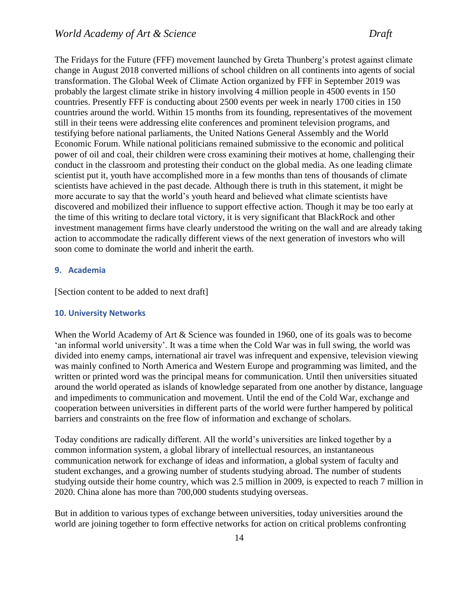The Fridays for the Future (FFF) movement launched by Greta Thunberg's protest against climate change in August 2018 converted millions of school children on all continents into agents of social transformation. The Global Week of Climate Action organized by FFF in September 2019 was probably the largest climate strike in history involving 4 million people in 4500 events in 150 countries. Presently FFF is conducting about 2500 events per week in nearly 1700 cities in 150 countries around the world. Within 15 months from its founding, representatives of the movement still in their teens were addressing elite conferences and prominent television programs, and testifying before national parliaments, the United Nations General Assembly and the World Economic Forum. While national politicians remained submissive to the economic and political power of oil and coal, their children were cross examining their motives at home, challenging their conduct in the classroom and protesting their conduct on the global media. As one leading climate scientist put it, youth have accomplished more in a few months than tens of thousands of climate scientists have achieved in the past decade. Although there is truth in this statement, it might be more accurate to say that the world's youth heard and believed what climate scientists have discovered and mobilized their influence to support effective action. Though it may be too early at the time of this writing to declare total victory, it is very significant that BlackRock and other investment management firms have clearly understood the writing on the wall and are already taking action to accommodate the radically different views of the next generation of investors who will soon come to dominate the world and inherit the earth.

#### <span id="page-14-0"></span>**9. Academia**

[Section content to be added to next draft]

#### <span id="page-14-1"></span>**10. University Networks**

When the World Academy of Art & Science was founded in 1960, one of its goals was to become 'an informal world university'. It was a time when the Cold War was in full swing, the world was divided into enemy camps, international air travel was infrequent and expensive, television viewing was mainly confined to North America and Western Europe and programming was limited, and the written or printed word was the principal means for communication. Until then universities situated around the world operated as islands of knowledge separated from one another by distance, language and impediments to communication and movement. Until the end of the Cold War, exchange and cooperation between universities in different parts of the world were further hampered by political barriers and constraints on the free flow of information and exchange of scholars.

Today conditions are radically different. All the world's universities are linked together by a common information system, a global library of intellectual resources, an instantaneous communication network for exchange of ideas and information, a global system of faculty and student exchanges, and a growing number of students studying abroad. The number of students studying outside their home country, which was 2.5 million in 2009, is expected to reach 7 million in 2020. China alone has more than 700,000 students studying overseas.

But in addition to various types of exchange between universities, today universities around the world are joining together to form effective networks for action on critical problems confronting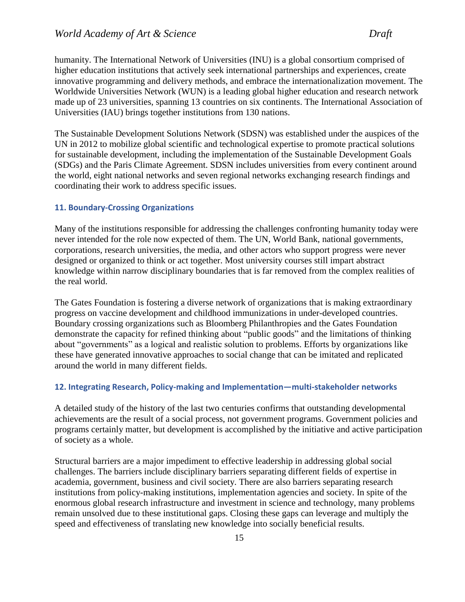humanity. The International Network of Universities (INU) is a global consortium comprised of higher education institutions that actively seek international partnerships and experiences, create innovative programming and delivery methods, and embrace the internationalization movement. The Worldwide Universities Network (WUN) is a leading global higher education and research network made up of 23 universities, spanning 13 countries on six continents. The International Association of Universities (IAU) brings together institutions from 130 nations.

The Sustainable Development Solutions Network (SDSN) was established under the auspices of the UN in 2012 to mobilize global scientific and technological expertise to promote practical solutions for sustainable development, including the implementation of the Sustainable Development Goals (SDGs) and the Paris Climate Agreement. SDSN includes universities from every continent around the world, eight national networks and seven regional networks exchanging research findings and coordinating their work to address specific issues.

#### <span id="page-15-0"></span>**11. Boundary-Crossing Organizations**

Many of the institutions responsible for addressing the challenges confronting humanity today were never intended for the role now expected of them. The UN, World Bank, national governments, corporations, research universities, the media, and other actors who support progress were never designed or organized to think or act together. Most university courses still impart abstract knowledge within narrow disciplinary boundaries that is far removed from the complex realities of the real world.

The Gates Foundation is fostering a diverse network of organizations that is making extraordinary progress on vaccine development and childhood immunizations in under-developed countries. Boundary crossing organizations such as Bloomberg Philanthropies and the Gates Foundation demonstrate the capacity for refined thinking about "public goods" and the limitations of thinking about "governments" as a logical and realistic solution to problems. Efforts by organizations like these have generated innovative approaches to social change that can be imitated and replicated around the world in many different fields.

#### <span id="page-15-1"></span>**12. Integrating Research, Policy-making and Implementation—multi-stakeholder networks**

A detailed study of the history of the last two centuries confirms that outstanding developmental achievements are the result of a social process, not government programs. Government policies and programs certainly matter, but development is accomplished by the initiative and active participation of society as a whole.

Structural barriers are a major impediment to effective leadership in addressing global social challenges. The barriers include disciplinary barriers separating different fields of expertise in academia, government, business and civil society. There are also barriers separating research institutions from policy-making institutions, implementation agencies and society. In spite of the enormous global research infrastructure and investment in science and technology, many problems remain unsolved due to these institutional gaps. Closing these gaps can leverage and multiply the speed and effectiveness of translating new knowledge into socially beneficial results.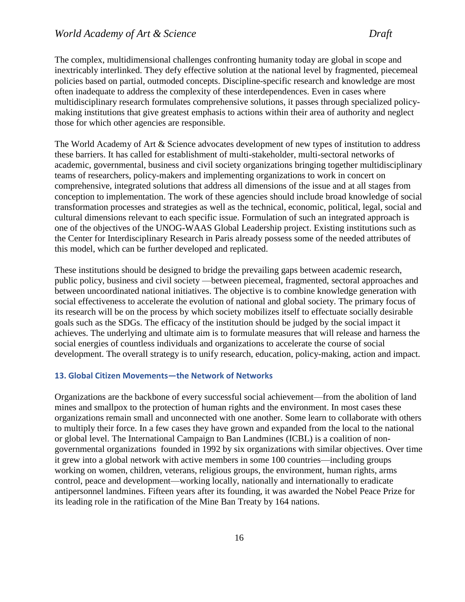The complex, multidimensional challenges confronting humanity today are global in scope and inextricably interlinked. They defy effective solution at the national level by fragmented, piecemeal policies based on partial, outmoded concepts. Discipline-specific research and knowledge are most often inadequate to address the complexity of these interdependences. Even in cases where multidisciplinary research formulates comprehensive solutions, it passes through specialized policymaking institutions that give greatest emphasis to actions within their area of authority and neglect those for which other agencies are responsible.

The World Academy of Art & Science advocates development of new types of institution to address these barriers. It has called for establishment of multi-stakeholder, multi-sectoral networks of academic, governmental, business and civil society organizations bringing together multidisciplinary teams of researchers, policy-makers and implementing organizations to work in concert on comprehensive, integrated solutions that address all dimensions of the issue and at all stages from conception to implementation. The work of these agencies should include broad knowledge of social transformation processes and strategies as well as the technical, economic, political, legal, social and cultural dimensions relevant to each specific issue. Formulation of such an integrated approach is one of the objectives of the UNOG-WAAS Global Leadership project. Existing institutions such as the Center for Interdisciplinary Research in Paris already possess some of the needed attributes of this model, which can be further developed and replicated.

These institutions should be designed to bridge the prevailing gaps between academic research, public policy, business and civil society —between piecemeal, fragmented, sectoral approaches and between uncoordinated national initiatives. The objective is to combine knowledge generation with social effectiveness to accelerate the evolution of national and global society. The primary focus of its research will be on the process by which society mobilizes itself to effectuate socially desirable goals such as the SDGs. The efficacy of the institution should be judged by the social impact it achieves. The underlying and ultimate aim is to formulate measures that will release and harness the social energies of countless individuals and organizations to accelerate the course of social development. The overall strategy is to unify research, education, policy-making, action and impact.

#### <span id="page-16-0"></span>**13. Global Citizen Movements—the Network of Networks**

Organizations are the backbone of every successful social achievement—from the abolition of land mines and smallpox to the protection of human rights and the environment. In most cases these organizations remain small and unconnected with one another. Some learn to collaborate with others to multiply their force. In a few cases they have grown and expanded from the local to the national or global level. The International Campaign to Ban Landmines (ICBL) is a coalition of [non](https://en.wikipedia.org/wiki/Non-governmental_organization)[governmental organizations](https://en.wikipedia.org/wiki/Non-governmental_organization) founded in 1992 by six organizations with similar objectives. Over time it grew into a global network with active members in some 100 countries—including groups working on women, children, veterans, religious groups, the environment, human rights, arms control, peace and development—working locally, nationally and internationally to eradicate antipersonnel landmines. Fifteen years after its founding, it was awarded the Nobel Peace Prize for its leading role in the ratification of the Mine Ban Treaty by 164 nations.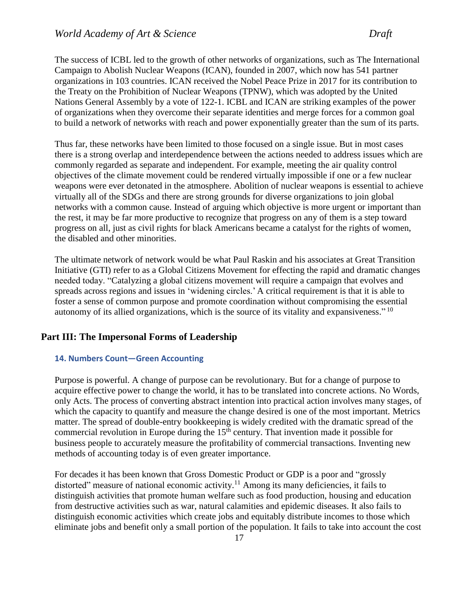The success of ICBL led to the growth of other networks of organizations, such as The International Campaign to Abolish Nuclear Weapons (ICAN), founded in 2007, which now has 541 partner organizations in 103 countries. ICAN received the Nobel Peace Prize in 2017 for its contribution to the Treaty on the Prohibition of Nuclear Weapons (TPNW), which was adopted by the United Nations General Assembly by a vote of 122-1. ICBL and ICAN are striking examples of the power of organizations when they overcome their separate identities and merge forces for a common goal to build a network of networks with reach and power exponentially greater than the sum of its parts.

Thus far, these networks have been limited to those focused on a single issue. But in most cases there is a strong overlap and interdependence between the actions needed to address issues which are commonly regarded as separate and independent. For example, meeting the air quality control objectives of the climate movement could be rendered virtually impossible if one or a few nuclear weapons were ever detonated in the atmosphere. Abolition of nuclear weapons is essential to achieve virtually all of the SDGs and there are strong grounds for diverse organizations to join global networks with a common cause. Instead of arguing which objective is more urgent or important than the rest, it may be far more productive to recognize that progress on any of them is a step toward progress on all, just as civil rights for black Americans became a catalyst for the rights of women, the disabled and other minorities.

The ultimate network of network would be what Paul Raskin and his associates at Great Transition Initiative (GTI) refer to as a Global Citizens Movement for effecting the rapid and dramatic changes needed today. "Catalyzing a global citizens movement will require a campaign that evolves and spreads across regions and issues in 'widening circles.' A critical requirement is that it is able to foster a sense of common purpose and promote coordination without compromising the essential autonomy of its allied organizations, which is the source of its vitality and expansiveness."  $^{10}$ 

#### <span id="page-17-0"></span>**Part III: The Impersonal Forms of Leadership**

#### <span id="page-17-1"></span>**14. Numbers Count—Green Accounting**

Purpose is powerful. A change of purpose can be revolutionary. But for a change of purpose to acquire effective power to change the world, it has to be translated into concrete actions. No Words, only Acts. The process of converting abstract intention into practical action involves many stages, of which the capacity to quantify and measure the change desired is one of the most important. Metrics matter. The spread of double-entry bookkeeping is widely credited with the dramatic spread of the commercial revolution in Europe during the  $15<sup>th</sup>$  century. That invention made it possible for business people to accurately measure the profitability of commercial transactions. Inventing new methods of accounting today is of even greater importance.

For decades it has been known that Gross Domestic Product or GDP is a poor and "grossly distorted" measure of national economic activity.<sup>11</sup> Among its many deficiencies, it fails to distinguish activities that promote human welfare such as food production, housing and education from destructive activities such as war, natural calamities and epidemic diseases. It also fails to distinguish economic activities which create jobs and equitably distribute incomes to those which eliminate jobs and benefit only a small portion of the population. It fails to take into account the cost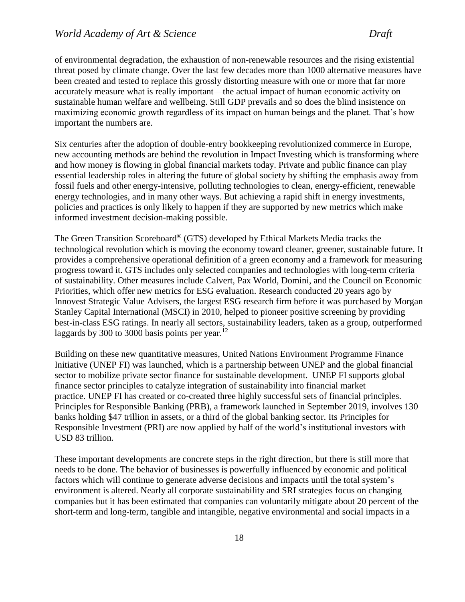of environmental degradation, the exhaustion of non-renewable resources and the rising existential threat posed by climate change. Over the last few decades more than 1000 alternative measures have been created and tested to replace this grossly distorting measure with one or more that far more accurately measure what is really important—the actual impact of human economic activity on sustainable human welfare and wellbeing. Still GDP prevails and so does the blind insistence on maximizing economic growth regardless of its impact on human beings and the planet. That's how important the numbers are.

Six centuries after the adoption of double-entry bookkeeping revolutionized commerce in Europe, new accounting methods are behind the revolution in Impact Investing which is transforming where and how money is flowing in global financial markets today. Private and public finance can play essential leadership roles in altering the future of global society by shifting the emphasis away from fossil fuels and other energy-intensive, polluting technologies to clean, energy-efficient, renewable energy technologies, and in many other ways. But achieving a rapid shift in energy investments, policies and practices is only likely to happen if they are supported by new metrics which make informed investment decision-making possible.

The Green Transition Scoreboard® (GTS) developed by Ethical Markets Media tracks the technological revolution which is moving the economy toward cleaner, greener, sustainable future. It provides a comprehensive operational definition of a green economy and a framework for measuring progress toward it. GTS includes only selected companies and technologies with long-term criteria of sustainability. Other measures include Calvert, Pax World, Domini, and the Council on Economic Priorities, which offer new metrics for ESG evaluation. Research conducted 20 years ago by Innovest Strategic Value Advisers, the largest ESG research firm before it was purchased by Morgan Stanley Capital International (MSCI) in 2010, helped to pioneer positive screening by providing best-in-class ESG ratings. In nearly all sectors, sustainability leaders, taken as a group, outperformed laggards by 300 to 3000 basis points per year. $12$ 

Building on these new quantitative measures, United Nations Environment Programme Finance Initiative (UNEP FI) was launched, which is a partnership between UNEP and the global financial sector to mobilize private sector finance for sustainable development. UNEP FI supports global finance sector principles to catalyze integration of sustainability into financial market practice. UNEP FI has created or co-created three highly successful sets of financial principles. Principles for Responsible Banking (PRB), a framework launched in September 2019, involves 130 banks holding \$47 trillion in assets, or a third of the global banking sector. Its Principles for Responsible Investment (PRI) are now applied by half of the world's institutional investors with USD 83 trillion.

These important developments are concrete steps in the right direction, but there is still more that needs to be done. The behavior of businesses is powerfully influenced by economic and political factors which will continue to generate adverse decisions and impacts until the total system's environment is altered. Nearly all corporate sustainability and SRI strategies focus on changing companies but it has been estimated that companies can voluntarily mitigate about 20 percent of the short-term and long-term, tangible and intangible, negative environmental and social impacts in a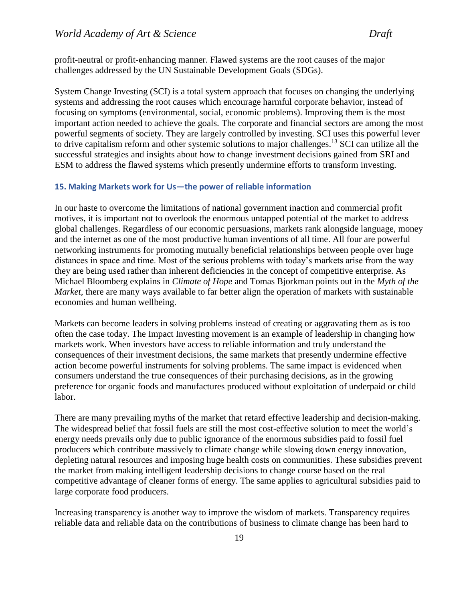profit-neutral or profit-enhancing manner. Flawed systems are the root causes of the major challenges addressed by the UN Sustainable Development Goals (SDGs).

System Change Investing (SCI) is a total system approach that focuses on changing the underlying systems and addressing the root causes which encourage harmful corporate behavior, instead of focusing on symptoms (environmental, social, economic problems). Improving them is the most important action needed to achieve the goals. The corporate and financial sectors are among the most powerful segments of society. They are largely controlled by investing. SCI uses this powerful lever to drive capitalism reform and other systemic solutions to major challenges.<sup>13</sup> SCI can utilize all the successful strategies and insights about how to change investment decisions gained from SRI and ESM to address the flawed systems which presently undermine efforts to transform investing.

#### <span id="page-19-0"></span>**15. Making Markets work for Us—the power of reliable information**

In our haste to overcome the limitations of national government inaction and commercial profit motives, it is important not to overlook the enormous untapped potential of the market to address global challenges. Regardless of our economic persuasions, markets rank alongside language, money and the internet as one of the most productive human inventions of all time. All four are powerful networking instruments for promoting mutually beneficial relationships between people over huge distances in space and time. Most of the serious problems with today's markets arise from the way they are being used rather than inherent deficiencies in the concept of competitive enterprise. As Michael Bloomberg explains in *Climate of Hope* and Tomas Bjorkman points out in the *Myth of the Market*, there are many ways available to far better align the operation of markets with sustainable economies and human wellbeing.

Markets can become leaders in solving problems instead of creating or aggravating them as is too often the case today. The Impact Investing movement is an example of leadership in changing how markets work. When investors have access to reliable information and truly understand the consequences of their investment decisions, the same markets that presently undermine effective action become powerful instruments for solving problems. The same impact is evidenced when consumers understand the true consequences of their purchasing decisions, as in the growing preference for organic foods and manufactures produced without exploitation of underpaid or child labor.

There are many prevailing myths of the market that retard effective leadership and decision-making. The widespread belief that fossil fuels are still the most cost-effective solution to meet the world's energy needs prevails only due to public ignorance of the enormous subsidies paid to fossil fuel producers which contribute massively to climate change while slowing down energy innovation, depleting natural resources and imposing huge health costs on communities. These subsidies prevent the market from making intelligent leadership decisions to change course based on the real competitive advantage of cleaner forms of energy. The same applies to agricultural subsidies paid to large corporate food producers.

Increasing transparency is another way to improve the wisdom of markets. Transparency requires reliable data and reliable data on the contributions of business to climate change has been hard to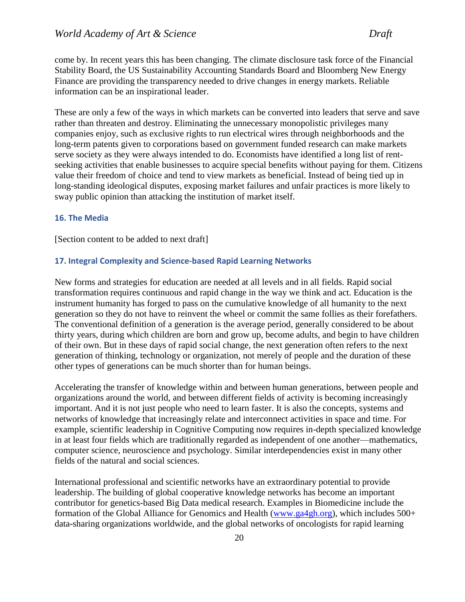come by. In recent years this has been changing. The climate disclosure task force of the Financial Stability Board, the US Sustainability Accounting Standards Board and Bloomberg New Energy Finance are providing the transparency needed to drive changes in energy markets. Reliable information can be an inspirational leader.

These are only a few of the ways in which markets can be converted into leaders that serve and save rather than threaten and destroy. Eliminating the unnecessary monopolistic privileges many companies enjoy, such as exclusive rights to run electrical wires through neighborhoods and the long-term patents given to corporations based on government funded research can make markets serve society as they were always intended to do. Economists have identified a long list of rentseeking activities that enable businesses to acquire special benefits without paying for them. Citizens value their freedom of choice and tend to view markets as beneficial. Instead of being tied up in long-standing ideological disputes, exposing market failures and unfair practices is more likely to sway public opinion than attacking the institution of market itself.

#### <span id="page-20-0"></span>**16. The Media**

[Section content to be added to next draft]

#### <span id="page-20-1"></span>**17. Integral Complexity and Science-based Rapid Learning Networks**

New forms and strategies for education are needed at all levels and in all fields. Rapid social transformation requires continuous and rapid change in the way we think and act. Education is the instrument humanity has forged to pass on the cumulative knowledge of all humanity to the next generation so they do not have to reinvent the wheel or commit the same follies as their forefathers. The conventional definition of a generation is the average period, generally considered to be about thirty years, during which children are born and grow up, become adults, and begin to have children of their own. But in these days of rapid social change, the next generation often refers to the next generation of thinking, technology or organization, not merely of people and the duration of these other types of generations can be much shorter than for human beings.

Accelerating the transfer of knowledge within and between human generations, between people and organizations around the world, and between different fields of activity is becoming increasingly important. And it is not just people who need to learn faster. It is also the concepts, systems and networks of knowledge that increasingly relate and interconnect activities in space and time. For example, scientific leadership in Cognitive Computing now requires in-depth specialized knowledge in at least four fields which are traditionally regarded as independent of one another—mathematics, computer science, neuroscience and psychology. Similar interdependencies exist in many other fields of the natural and social sciences.

International professional and scientific networks have an extraordinary potential to provide leadership. The building of global cooperative knowledge networks has become an important contributor for genetics-based Big Data medical research. Examples in Biomedicine include the formation of the Global Alliance for Genomics and Health [\(www.ga4gh.org\)](http://www.ga4gh.org/), which includes 500+ data-sharing organizations worldwide, and the global networks of oncologists for rapid learning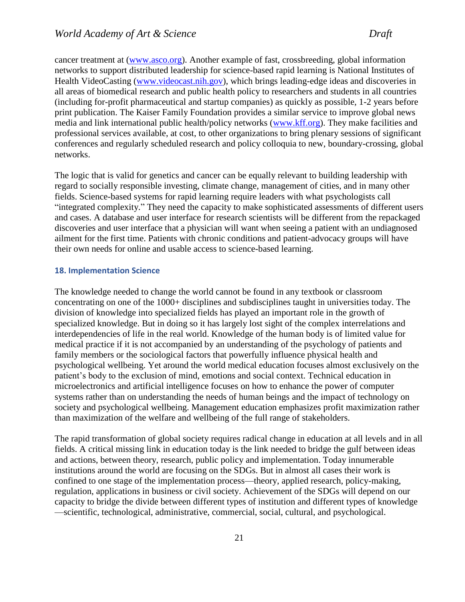cancer treatment at [\(www.asco.org\)](http://www.asco.org/). Another example of fast, crossbreeding, global information networks to support distributed leadership for science-based rapid learning is National Institutes of Health VideoCasting [\(www.videocast.nih.gov\)](http://www.videocast.nih.gov/), which brings leading-edge ideas and discoveries in all areas of biomedical research and public health policy to researchers and students in all countries (including for-profit pharmaceutical and startup companies) as quickly as possible, 1-2 years before print publication. The Kaiser Family Foundation provides a similar service to improve global news media and link international public health/policy networks [\(www.kff.org\)](file:///C:/Users/Garry%20Jacobs/Downloads/www.kff.org). They make facilities and professional services available, at cost, to other organizations to bring plenary sessions of significant conferences and regularly scheduled research and policy colloquia to new, boundary-crossing, global networks.

The logic that is valid for genetics and cancer can be equally relevant to building leadership with regard to socially responsible investing, climate change, management of cities, and in many other fields. Science-based systems for rapid learning require leaders with what psychologists call "integrated complexity." They need the capacity to make sophisticated assessments of different users and cases. A database and user interface for research scientists will be different from the repackaged discoveries and user interface that a physician will want when seeing a patient with an undiagnosed ailment for the first time. Patients with chronic conditions and patient-advocacy groups will have their own needs for online and usable access to science-based learning.

#### <span id="page-21-0"></span>**18. Implementation Science**

The knowledge needed to change the world cannot be found in any textbook or classroom concentrating on one of the 1000+ disciplines and subdisciplines taught in universities today. The division of knowledge into specialized fields has played an important role in the growth of specialized knowledge. But in doing so it has largely lost sight of the complex interrelations and interdependencies of life in the real world. Knowledge of the human body is of limited value for medical practice if it is not accompanied by an understanding of the psychology of patients and family members or the sociological factors that powerfully influence physical health and psychological wellbeing. Yet around the world medical education focuses almost exclusively on the patient's body to the exclusion of mind, emotions and social context. Technical education in microelectronics and artificial intelligence focuses on how to enhance the power of computer systems rather than on understanding the needs of human beings and the impact of technology on society and psychological wellbeing. Management education emphasizes profit maximization rather than maximization of the welfare and wellbeing of the full range of stakeholders.

The rapid transformation of global society requires radical change in education at all levels and in all fields. A critical missing link in education today is the link needed to bridge the gulf between ideas and actions, between theory, research, public policy and implementation. Today innumerable institutions around the world are focusing on the SDGs. But in almost all cases their work is confined to one stage of the implementation process—theory, applied research, policy-making, regulation, applications in business or civil society. Achievement of the SDGs will depend on our capacity to bridge the divide between different types of institution and different types of knowledge —scientific, technological, administrative, commercial, social, cultural, and psychological.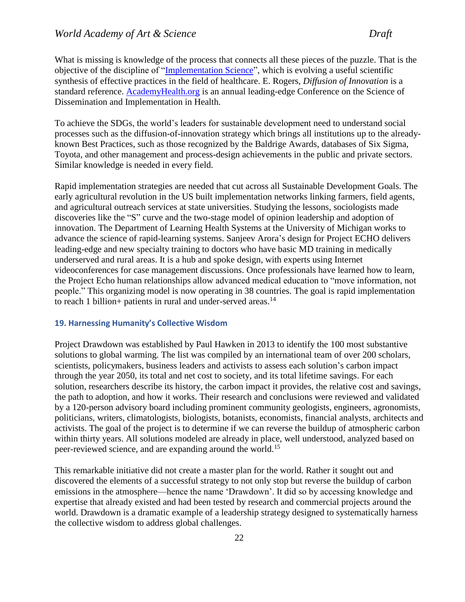What is missing is knowledge of the process that connects all these pieces of the puzzle. That is the objective of the discipline of ["Implementation Science"](https://implementationscience.biomedcentral.com/), which is evolving a useful scientific synthesis of effective practices in the field of healthcare. E. Rogers, *Diffusion of Innovation* is a standard reference. [AcademyHealth.org](file:///C:/Users/Garry%20Jacobs/Google%20Drive/WAAS/Geneva%20UNOG%20Project/Papers/AcademyHealth.org) is an annual leading-edge Conference on the Science of Dissemination and Implementation in Health.

To achieve the SDGs, the world's leaders for sustainable development need to understand social processes such as the diffusion-of-innovation strategy which brings all institutions up to the alreadyknown Best Practices, such as those recognized by the Baldrige Awards, databases of Six Sigma, Toyota, and other management and process-design achievements in the public and private sectors. Similar knowledge is needed in every field.

Rapid implementation strategies are needed that cut across all Sustainable Development Goals. The early agricultural revolution in the US built implementation networks linking farmers, field agents, and agricultural outreach services at state universities. Studying the lessons, sociologists made discoveries like the "S" curve and the two-stage model of opinion leadership and adoption of innovation. The Department of Learning Health Systems at the University of Michigan works to advance the [science of rapid-learning systems.](file:///C:/Users/Garry%20Jacobs/Google%20Drive/WAAS/Geneva%20UNOG%20Project/Papers/An%20academic%20Department%20of%20Learning%20Health%20Systems%20(with%20an%20online%20journal)%20at%20the%20University%20of%20Michigan%20now%20works%20to%20advance%20the%20science%20of%20rapid-learning%20systems%20-%20https:/medicine.umich.%20edu%20/dept/lhs/service-outreach/learning-health-systems.%5d) Sanjeev Arora's design for Project ECHO delivers leading-edge and new specialty training to doctors who have basic MD training in medically underserved and rural areas. It is a hub and spoke design, with experts using Internet videoconferences for case management discussions. Once professionals have learned how to learn, the Project Echo human relationships allow advanced medical education to "move information, not people." This organizing model is now operating in 38 countries. The goal is rapid implementation to reach 1 billion+ patients in rural and under-served areas. $14$ 

#### <span id="page-22-0"></span>**19. Harnessing Humanity's Collective Wisdom**

Project Drawdown was established by Paul Hawken in 2013 to identify the 100 most substantive solutions to global warming. The list was compiled by an international team of over 200 scholars, scientists, policymakers, business leaders and activists to assess each solution's carbon impact through the year 2050, its total and net cost to society, and its total lifetime savings. For each solution, researchers describe its history, the carbon impact it provides, the relative cost and savings, the path to adoption, and how it works. Their research and conclusions were reviewed and validated by a 120-person advisory board including prominent community geologists, engineers, agronomists, politicians, writers, climatologists, biologists, botanists, economists, financial analysts, architects and activists. The goal of the project is to determine if we can reverse the buildup of atmospheric carbon within thirty years. All solutions modeled are already in place, well understood, analyzed based on peer-reviewed science, and are expanding around the world.<sup>15</sup>

This remarkable initiative did not create a master plan for the world. Rather it sought out and discovered the elements of a successful strategy to not only stop but reverse the buildup of carbon emissions in the atmosphere—hence the name 'Drawdown'. It did so by accessing knowledge and expertise that already existed and had been tested by research and commercial projects around the world. Drawdown is a dramatic example of a leadership strategy designed to systematically harness the collective wisdom to address global challenges.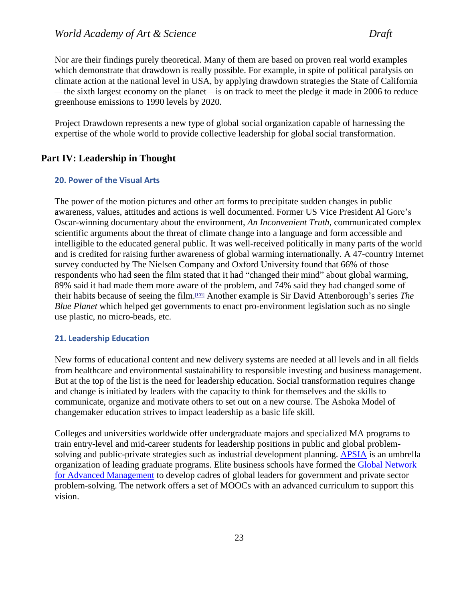Nor are their findings purely theoretical. Many of them are based on proven real world examples which demonstrate that drawdown is really possible. For example, in spite of political paralysis on climate action at the national level in USA, by applying drawdown strategies the State of California —the sixth largest economy on the planet—is on track to meet the pledge it made in 2006 to reduce greenhouse emissions to 1990 levels by 2020.

Project Drawdown represents a new type of global social organization capable of harnessing the expertise of the whole world to provide collective leadership for global social transformation.

# <span id="page-23-0"></span>**Part IV: Leadership in Thought**

# <span id="page-23-1"></span>**20. Power of the Visual Arts**

The power of the motion pictures and other art forms to precipitate sudden changes in public awareness, values, attitudes and actions is well documented. Former US Vice President Al Gore's Oscar-winning documentary about the environment, *An Inconvenient Truth,* communicated complex scientific arguments about the threat of climate change into a language and form accessible and intelligible to the educated general public. It was well-received politically in many parts of the world and is credited for raising further awareness of global warming internationally. A 47-country Internet survey conducted by The Nielsen Company and Oxford University found that 66% of those respondents who had seen the film stated that it had "changed their mind" about global warming, 89% said it had made them more aware of the problem, and 74% said they had changed some of their habits because of seeing the film.[\[101\]](https://en.wikipedia.org/wiki/An_Inconvenient_Truth#cite_note-global_survey-101) Another example is Sir David Attenborough's series *The Blue Planet* which helped get governments to enact pro-environment legislation such as no single use plastic, no micro-beads, etc.

#### <span id="page-23-2"></span>**21. Leadership Education**

New forms of educational content and new delivery systems are needed at all levels and in all fields from healthcare and environmental sustainability to responsible investing and business management. But at the top of the list is the need for leadership education. Social transformation requires change and change is initiated by leaders with the capacity to think for themselves and the skills to communicate, organize and motivate others to set out on a new course. The Ashoka Model of changemaker education strives to impact leadership as a basic life skill.

Colleges and universities worldwide offer undergraduate majors and specialized MA programs to train entry-level and mid-career students for leadership positions in public and global problemsolving and public-private strategies such as industrial development planning. [APSIA](http://www.apsia.org/) is an umbrella organization of leading graduate programs. Elite business schools have formed the [Global Network](https://globalnetwork.io/)  [for Advanced Management](https://globalnetwork.io/) to develop cadres of global leaders for government and private sector problem-solving. The network offers a set of MOOCs with an advanced curriculum to support this vision.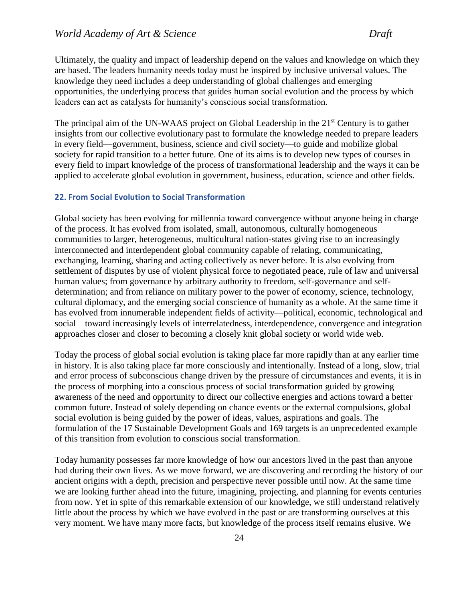Ultimately, the quality and impact of leadership depend on the values and knowledge on which they are based. The leaders humanity needs today must be inspired by inclusive universal values. The knowledge they need includes a deep understanding of global challenges and emerging opportunities, the underlying process that guides human social evolution and the process by which leaders can act as catalysts for humanity's conscious social transformation.

The principal aim of the UN-WAAS project on Global Leadership in the  $21<sup>st</sup>$  Century is to gather insights from our collective evolutionary past to formulate the knowledge needed to prepare leaders in every field—government, business, science and civil society—to guide and mobilize global society for rapid transition to a better future. One of its aims is to develop new types of courses in every field to impart knowledge of the process of transformational leadership and the ways it can be applied to accelerate global evolution in government, business, education, science and other fields.

## <span id="page-24-0"></span>**22. From Social Evolution to Social Transformation**

Global society has been evolving for millennia toward convergence without anyone being in charge of the process. It has evolved from isolated, small, autonomous, culturally homogeneous communities to larger, heterogeneous, multicultural nation-states giving rise to an increasingly interconnected and interdependent global community capable of relating, communicating, exchanging, learning, sharing and acting collectively as never before. It is also evolving from settlement of disputes by use of violent physical force to negotiated peace, rule of law and universal human values; from governance by arbitrary authority to freedom, self-governance and selfdetermination; and from reliance on military power to the power of economy, science, technology, cultural diplomacy, and the emerging social conscience of humanity as a whole. At the same time it has evolved from innumerable independent fields of activity—political, economic, technological and social—toward increasingly levels of interrelatedness, interdependence, convergence and integration approaches closer and closer to becoming a closely knit global society or world wide web.

Today the process of global social evolution is taking place far more rapidly than at any earlier time in history. It is also taking place far more consciously and intentionally. Instead of a long, slow, trial and error process of subconscious change driven by the pressure of circumstances and events, it is in the process of morphing into a conscious process of social transformation guided by growing awareness of the need and opportunity to direct our collective energies and actions toward a better common future. Instead of solely depending on chance events or the external compulsions, global social evolution is being guided by the power of ideas, values, aspirations and goals. The formulation of the 17 Sustainable Development Goals and 169 targets is an unprecedented example of this transition from evolution to conscious social transformation.

Today humanity possesses far more knowledge of how our ancestors lived in the past than anyone had during their own lives. As we move forward, we are discovering and recording the history of our ancient origins with a depth, precision and perspective never possible until now. At the same time we are looking further ahead into the future, imagining, projecting, and planning for events centuries from now. Yet in spite of this remarkable extension of our knowledge, we still understand relatively little about the process by which we have evolved in the past or are transforming ourselves at this very moment. We have many more facts, but knowledge of the process itself remains elusive. We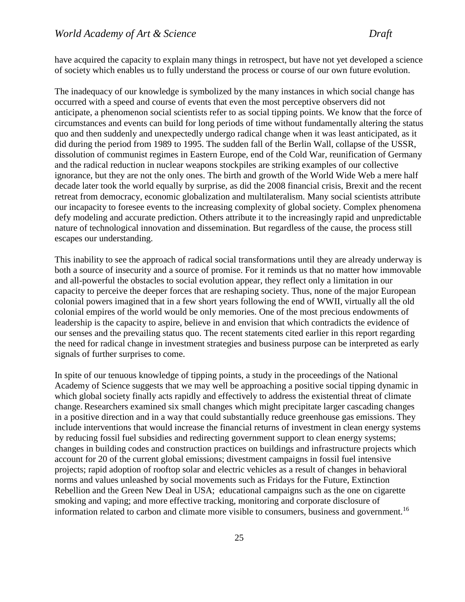have acquired the capacity to explain many things in retrospect, but have not yet developed a science of society which enables us to fully understand the process or course of our own future evolution.

The inadequacy of our knowledge is symbolized by the many instances in which social change has occurred with a speed and course of events that even the most perceptive observers did not anticipate, a phenomenon social scientists refer to as social tipping points. We know that the force of circumstances and events can build for long periods of time without fundamentally altering the status quo and then suddenly and unexpectedly undergo radical change when it was least anticipated, as it did during the period from 1989 to 1995. The sudden fall of the Berlin Wall, collapse of the USSR, dissolution of communist regimes in Eastern Europe, end of the Cold War, reunification of Germany and the radical reduction in nuclear weapons stockpiles are striking examples of our collective ignorance, but they are not the only ones. The birth and growth of the World Wide Web a mere half decade later took the world equally by surprise, as did the 2008 financial crisis, Brexit and the recent retreat from democracy, economic globalization and multilateralism. Many social scientists attribute our incapacity to foresee events to the increasing complexity of global society. Complex phenomena defy modeling and accurate prediction. Others attribute it to the increasingly rapid and unpredictable nature of technological innovation and dissemination. But regardless of the cause, the process still escapes our understanding.

This inability to see the approach of radical social transformations until they are already underway is both a source of insecurity and a source of promise. For it reminds us that no matter how immovable and all-powerful the obstacles to social evolution appear, they reflect only a limitation in our capacity to perceive the deeper forces that are reshaping society. Thus, none of the major European colonial powers imagined that in a few short years following the end of WWII, virtually all the old colonial empires of the world would be only memories. One of the most precious endowments of leadership is the capacity to aspire, believe in and envision that which contradicts the evidence of our senses and the prevailing status quo. The recent statements cited earlier in this report regarding the need for radical change in investment strategies and business purpose can be interpreted as early signals of further surprises to come.

In spite of our tenuous knowledge of tipping points, a study in the proceedings of the National Academy of Science suggests that we may well be approaching a positive social tipping dynamic in which global society finally acts rapidly and effectively to address the existential threat of climate change. Researchers examined six small changes which might precipitate larger cascading changes in a positive direction and in a way that could substantially reduce greenhouse gas emissions. They include interventions that would increase the financial returns of investment in clean energy systems by reducing fossil fuel subsidies and redirecting government support to clean energy systems; changes in building codes and construction practices on buildings and infrastructure projects which account for 20 of the current global emissions; divestment campaigns in fossil fuel intensive projects; rapid adoption of rooftop solar and electric vehicles as a result of changes in behavioral norms and values unleashed by social movements such as Fridays for the Future, Extinction Rebellion and the Green New Deal in USA; educational campaigns such as the one on cigarette smoking and vaping; and more effective tracking, monitoring and corporate disclosure of information related to carbon and climate more visible to consumers, business and government.<sup>16</sup>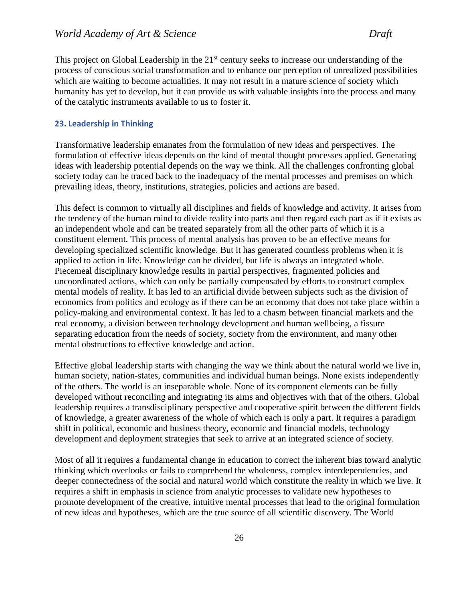This project on Global Leadership in the 21<sup>st</sup> century seeks to increase our understanding of the process of conscious social transformation and to enhance our perception of unrealized possibilities which are waiting to become actualities. It may not result in a mature science of society which humanity has yet to develop, but it can provide us with valuable insights into the process and many of the catalytic instruments available to us to foster it.

#### <span id="page-26-0"></span>**23. Leadership in Thinking**

Transformative leadership emanates from the formulation of new ideas and perspectives. The formulation of effective ideas depends on the kind of mental thought processes applied. Generating ideas with leadership potential depends on the way we think. All the challenges confronting global society today can be traced back to the inadequacy of the mental processes and premises on which prevailing ideas, theory, institutions, strategies, policies and actions are based.

This defect is common to virtually all disciplines and fields of knowledge and activity. It arises from the tendency of the human mind to divide reality into parts and then regard each part as if it exists as an independent whole and can be treated separately from all the other parts of which it is a constituent element. This process of mental analysis has proven to be an effective means for developing specialized scientific knowledge. But it has generated countless problems when it is applied to action in life. Knowledge can be divided, but life is always an integrated whole. Piecemeal disciplinary knowledge results in partial perspectives, fragmented policies and uncoordinated actions, which can only be partially compensated by efforts to construct complex mental models of reality. It has led to an artificial divide between subjects such as the division of economics from politics and ecology as if there can be an economy that does not take place within a policy-making and environmental context. It has led to a chasm between financial markets and the real economy, a division between technology development and human wellbeing, a fissure separating education from the needs of society, society from the environment, and many other mental obstructions to effective knowledge and action.

Effective global leadership starts with changing the way we think about the natural world we live in, human society, nation-states, communities and individual human beings. None exists independently of the others. The world is an inseparable whole. None of its component elements can be fully developed without reconciling and integrating its aims and objectives with that of the others. Global leadership requires a transdisciplinary perspective and cooperative spirit between the different fields of knowledge, a greater awareness of the whole of which each is only a part. It requires a paradigm shift in political, economic and business theory, economic and financial models, technology development and deployment strategies that seek to arrive at an integrated science of society.

Most of all it requires a fundamental change in education to correct the inherent bias toward analytic thinking which overlooks or fails to comprehend the wholeness, complex interdependencies, and deeper connectedness of the social and natural world which constitute the reality in which we live. It requires a shift in emphasis in science from analytic processes to validate new hypotheses to promote development of the creative, intuitive mental processes that lead to the original formulation of new ideas and hypotheses, which are the true source of all scientific discovery. The World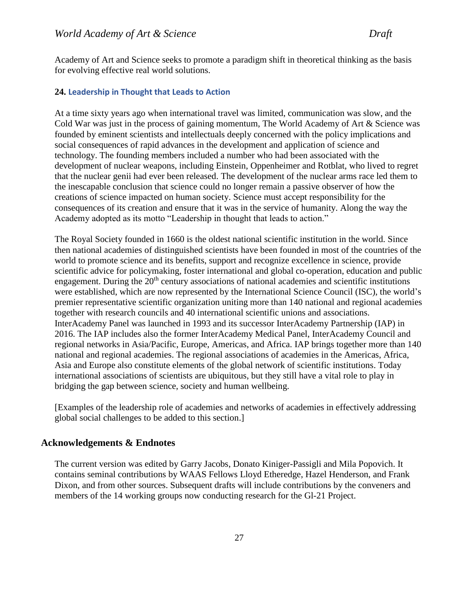Academy of Art and Science seeks to promote a paradigm shift in theoretical thinking as the basis for evolving effective real world solutions.

#### <span id="page-27-0"></span>**24. Leadership in Thought that Leads to Action**

At a time sixty years ago when international travel was limited, communication was slow, and the Cold War was just in the process of gaining momentum, The World Academy of Art & Science was founded by eminent scientists and intellectuals deeply concerned with the policy implications and social consequences of rapid advances in the development and application of science and technology. The founding members included a number who had been associated with the development of nuclear weapons, including Einstein, Oppenheimer and Rotblat, who lived to regret that the nuclear genii had ever been released. The development of the nuclear arms race led them to the inescapable conclusion that science could no longer remain a passive observer of how the creations of science impacted on human society. Science must accept responsibility for the consequences of its creation and ensure that it was in the service of humanity. Along the way the Academy adopted as its motto "Leadership in thought that leads to action."

The Royal Society founded in 1660 is the oldest national scientific institution in the world. Since then national academies of distinguished scientists have been founded in most of the countries of the world to promote science and its benefits, support and recognize excellence in science, provide scientific advice for policymaking, foster international and global co-operation, education and public engagement. During the  $20<sup>th</sup>$  century associations of national academies and scientific institutions were established, which are now represented by the International Science Council (ISC), the world's premier representative scientific organization uniting more than 140 national and regional academies together with research councils and 40 international scientific unions and associations. InterAcademy Panel was launched in 1993 and its successor InterAcademy Partnership (IAP) in 2016. The IAP includes also the former InterAcademy Medical Panel, InterAcademy Council and regional networks in Asia/Pacific, Europe, Americas, and Africa. IAP brings together more than 140 national and regional academies. The regional associations of academies in the Americas, Africa, Asia and Europe also constitute elements of the global network of scientific institutions. Today international associations of scientists are ubiquitous, but they still have a vital role to play in bridging the gap between science, society and human wellbeing.

[Examples of the leadership role of academies and networks of academies in effectively addressing global social challenges to be added to this section.]

# <span id="page-27-1"></span>**Acknowledgements & Endnotes**

The current version was edited by Garry Jacobs, Donato Kiniger-Passigli and Mila Popovich. It contains seminal contributions by WAAS Fellows Lloyd Etheredge, Hazel Henderson, and Frank Dixon, and from other sources. Subsequent drafts will include contributions by the conveners and members of the 14 working groups now conducting research for the Gl-21 Project.